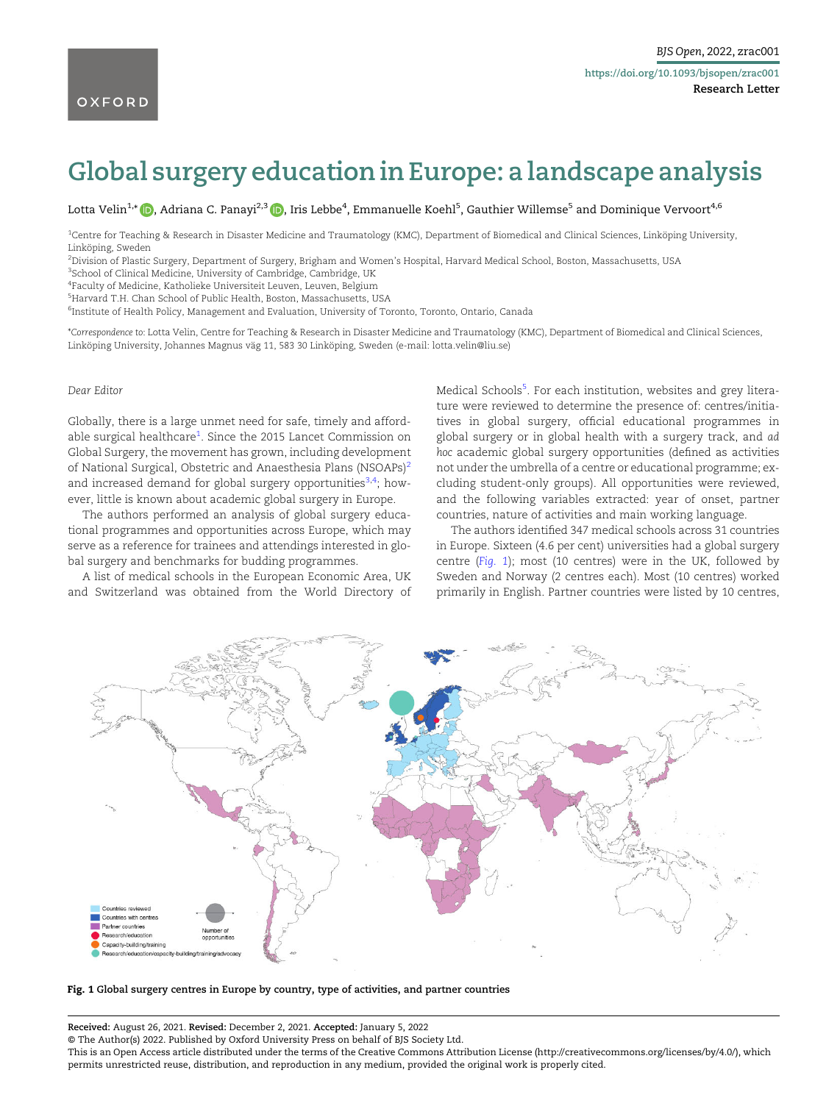## Global surgery education in Europe: a landscape analysis

Lotta Velin<sup>1,</sup>\* (<mark>D</mark>, Adriana C. Panayi<sup>2,3</sup> (D, Iris Lebbe<sup>4</sup>, Emmanuelle Koehl<sup>5</sup>, Gauthier Willemse<sup>5</sup> and Dominique Vervoort<sup>4,6</sup>

1 Centre for Teaching & Research in Disaster Medicine and Traumatology (KMC), Department of Biomedical and Clinical Sciences, Linköping University, Linköping, Sweden

2 Division of Plastic Surgery, Department of Surgery, Brigham and Women's Hospital, Harvard Medical School, Boston, Massachusetts, USA

<sup>3</sup>School of Clinical Medicine, University of Cambridge, Cambridge, UK

4 Faculty of Medicine, Katholieke Universiteit Leuven, Leuven, Belgium

5 Harvard T.H. Chan School of Public Health, Boston, Massachusetts, USA

 $^6$ Institute of Health Policy, Management and Evaluation, University of Toronto, Toronto, Ontario, Canada

\*Correspondence to: Lotta Velin, Centre for Teaching & Research in Disaster Medicine and Traumatology (KMC), Department of Biomedical and Clinical Sciences, Linköping University, Johannes Magnus väg 11, 583 30 Linköping, Sweden (e-mail: [lotta.velin@liu.se](mailto:lotta.velin@liu.se))

## Dear Editor

<span id="page-0-1"></span><span id="page-0-0"></span>Globally, there is a large unmet need for safe, timely and affordable surgical healthcare<sup>1</sup>. Since the 2015 Lancet Commission on Global Surgery, the movement has grown, including development of National Surgical, Obstetric and Anaesthesia Plans (NSOAPs)<sup>[2](#page-1-0)</sup> and increased demand for global surgery opportunities<sup>3,4</sup>; however, little is known about academic global surgery in Europe.

<span id="page-0-2"></span>The authors performed an analysis of global surgery educational programmes and opportunities across Europe, which may serve as a reference for trainees and attendings interested in global surgery and benchmarks for budding programmes.

A list of medical schools in the European Economic Area, UK and Switzerland was obtained from the World Directory of <span id="page-0-3"></span>Medical Schools<sup>5</sup>. For each institution, websites and grey literature were reviewed to determine the presence of: centres/initiatives in global surgery, official educational programmes in global surgery or in global health with a surgery track, and ad hoc academic global surgery opportunities (defined as activities not under the umbrella of a centre or educational programme; excluding student-only groups). All opportunities were reviewed, and the following variables extracted: year of onset, partner countries, nature of activities and main working language.

The authors identified 347 medical schools across 31 countries in Europe. Sixteen (4.6 per cent) universities had a global surgery centre (Fig. 1); most (10 centres) were in the UK, followed by Sweden and Norway (2 centres each). Most (10 centres) worked primarily in English. Partner countries were listed by 10 centres,



Fig. 1 Global surgery centres in Europe by country, type of activities, and partner countries

Received: August 26, 2021. Revised: December 2, 2021. Accepted: January 5, 2022

© The Author(s) 2022. Published by Oxford University Press on behalf of BJS Society Ltd.

This is an Open Access article distributed under the terms of the Creative Commons Attribution License [\(http://creativecommons.org/licenses/by/4.0/\)](https://creativecommons.org/licenses/by/4.0/), which permits unrestricted reuse, distribution, and reproduction in any medium, provided the original work is properly cited.